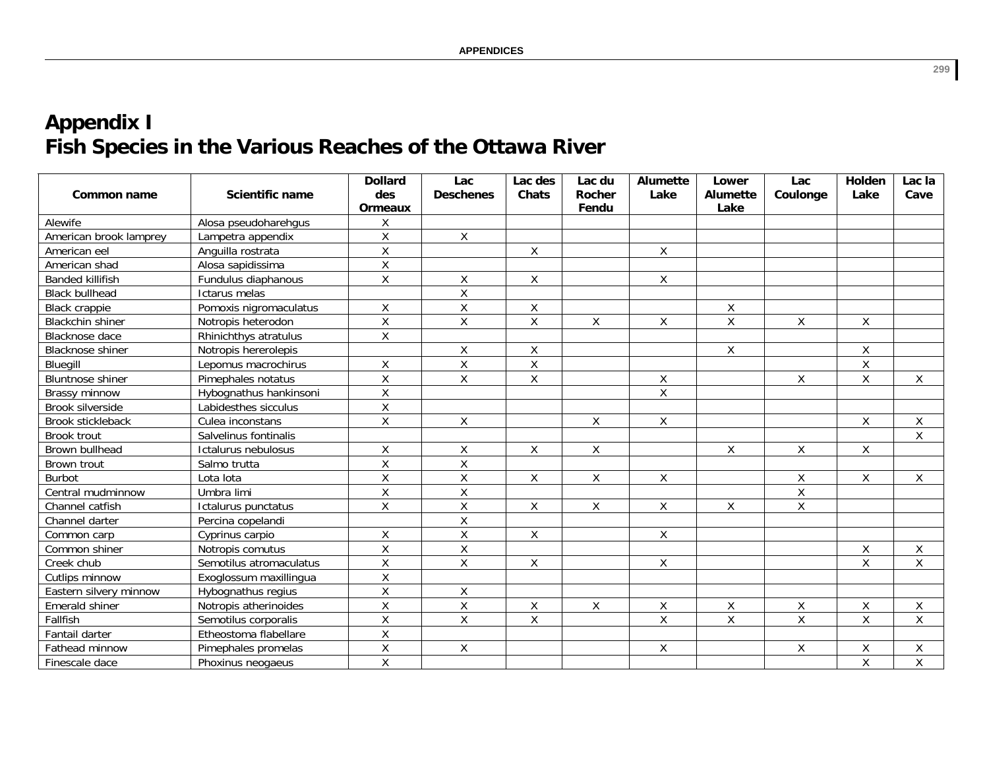## **Appendix I** Fish Species in the Various Reaches of the Ottawa River

|                         | <b>Scientific name</b>  | <b>Dollard</b><br>des   | Lac<br><b>Deschenes</b> | Lac des<br>Chats | Lac du<br>Rocher | Alumette<br>Lake   | Lower<br>Alumette | Lac                | Holden<br>Lake | Lac la<br>Cave     |
|-------------------------|-------------------------|-------------------------|-------------------------|------------------|------------------|--------------------|-------------------|--------------------|----------------|--------------------|
| <b>Common name</b>      |                         | <b>Ormeaux</b>          |                         |                  | Fendu            |                    | Lake              | Coulonge           |                |                    |
| Alewife                 | Alosa pseudoharehgus    | Χ                       |                         |                  |                  |                    |                   |                    |                |                    |
| American brook lamprey  | Lampetra appendix       | $\pmb{\mathsf{X}}$      | $\mathsf{X}$            |                  |                  |                    |                   |                    |                |                    |
| American eel            | Anguilla rostrata       | Χ                       |                         | $\mathsf X$      |                  | Χ                  |                   |                    |                |                    |
| American shad           | Alosa sapidissima       | $\overline{X}$          |                         |                  |                  |                    |                   |                    |                |                    |
| <b>Banded killifish</b> | Fundulus diaphanous     | $\pmb{\mathsf{X}}$      | X                       | X                |                  | X                  |                   |                    |                |                    |
| <b>Black bullhead</b>   | Ictarus melas           |                         | $\overline{X}$          |                  |                  |                    |                   |                    |                |                    |
| <b>Black crappie</b>    | Pomoxis nigromaculatus  | $\sf X$                 | $\mathsf{X}$            | $\sf X$          |                  |                    | X                 |                    |                |                    |
| <b>Blackchin shiner</b> | Notropis heterodon      | $\overline{\mathsf{x}}$ | $\overline{X}$          | $\overline{X}$   | Χ                | Χ                  | $\overline{X}$    | X                  | X              |                    |
| Blacknose dace          | Rhinichthys atratulus   | X                       |                         |                  |                  |                    |                   |                    |                |                    |
| Blacknose shiner        | Notropis hererolepis    |                         | $\mathsf{X}$            | $\mathsf X$      |                  |                    | X                 |                    | X              |                    |
| Bluegill                | Lepomus macrochirus     | $\sf X$                 | Χ                       | $\sf X$          |                  |                    |                   |                    | Χ              |                    |
| <b>Bluntnose shiner</b> | Pimephales notatus      | $\overline{X}$          | $\mathsf{X}$            | $\sf X$          |                  | $\mathsf X$        |                   | $\mathsf{X}$       | $\overline{X}$ | $\mathsf X$        |
| Brassy minnow           | Hybognathus hankinsoni  | $\mathsf{X}$            |                         |                  |                  | $\overline{X}$     |                   |                    |                |                    |
| Brook silverside        | Labidesthes sicculus    | $\sf X$                 |                         |                  |                  |                    |                   |                    |                |                    |
| Brook stickleback       | Culea inconstans        | $\overline{X}$          | $\mathsf{X}$            |                  | Χ                | $\pmb{\mathsf{X}}$ |                   |                    | Χ              | Χ                  |
| Brook trout             | Salvelinus fontinalis   |                         |                         |                  |                  |                    |                   |                    |                | $\mathsf X$        |
| Brown bullhead          | Ictalurus nebulosus     | X                       | X                       | X                | X                |                    | X                 | X                  | X              |                    |
| Brown trout             | Salmo trutta            | $\sf X$                 | Χ                       |                  |                  |                    |                   |                    |                |                    |
| <b>Burbot</b>           | Lota lota               | $\pmb{\mathsf{X}}$      | Χ                       | X                | χ                | Χ                  |                   | X                  | X              | X                  |
| Central mudminnow       | Umbra limi              | $\overline{X}$          | $\mathsf{X}$            |                  |                  |                    |                   | $\mathsf{X}$       |                |                    |
| Channel catfish         | Ictalurus punctatus     | $\mathsf X$             | $\mathsf{X}$            | X                | X                | X                  | X                 | X                  |                |                    |
| Channel darter          | Percina copelandi       |                         | Χ                       |                  |                  |                    |                   |                    |                |                    |
| Common carp             | Cyprinus carpio         | $\sf X$                 | $\mathsf X$             | X                |                  | X                  |                   |                    |                |                    |
| Common shiner           | Notropis comutus        | $\mathsf X$             | $\mathsf X$             |                  |                  |                    |                   |                    | Χ              | $\mathsf X$        |
| Creek chub              | Semotilus atromaculatus | $\sf X$                 | Χ                       | X                |                  | X                  |                   |                    | Χ              | X                  |
| Cutlips minnow          | Exoglossum maxillingua  | $\pmb{\mathsf{X}}$      |                         |                  |                  |                    |                   |                    |                |                    |
| Eastern silvery minnow  | Hybognathus regius      | $\overline{X}$          | $\overline{X}$          |                  |                  |                    |                   |                    |                |                    |
| Emerald shiner          | Notropis atherinoides   | $\sf X$                 | $\overline{X}$          | $\mathsf X$      | Χ                | Χ                  | X                 | X                  | X              | X                  |
| Fallfish                | Semotilus corporalis    | $\sf X$                 | $\mathsf{X}$            | X                |                  | X                  | X                 | X                  | $\mathsf{X}$   | X                  |
| Fantail darter          | Etheostoma flabellare   | $\overline{X}$          |                         |                  |                  |                    |                   |                    |                |                    |
| Fathead minnow          | Pimephales promelas     | $\overline{X}$          | X                       |                  |                  | Χ                  |                   | $\pmb{\mathsf{X}}$ | Χ              | Χ                  |
| Finescale dace          | Phoxinus neogaeus       | $\mathsf X$             |                         |                  |                  |                    |                   |                    | X              | $\pmb{\mathsf{X}}$ |

299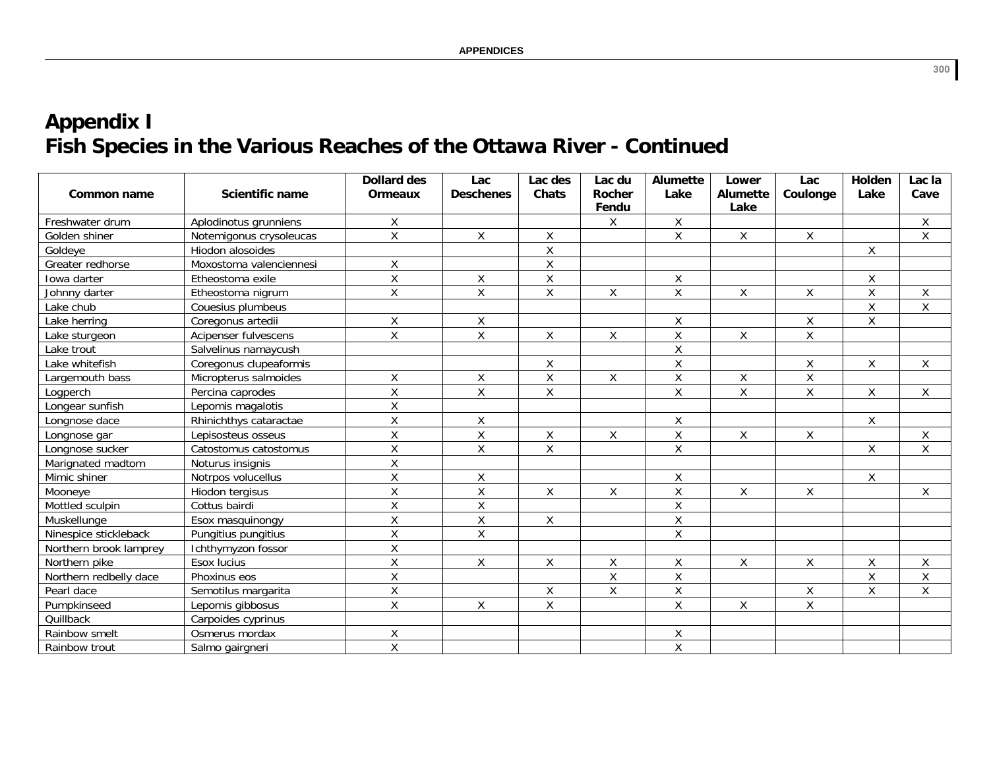## **Appendix I** Fish Species in the Various Reaches of the Ottawa River - Continued

| Common name            | <b>Scientific name</b>  | <b>Dollard des</b><br><b>Ormeaux</b> | Lac<br><b>Deschenes</b> | Lac des<br><b>Chats</b> | Lac du<br>Rocher<br>Fendu | <b>Alumette</b><br>Lake | Lower<br>Alumette<br>Lake | Lac<br>Coulonge | Holden<br>Lake          | Lac la<br>Cave     |
|------------------------|-------------------------|--------------------------------------|-------------------------|-------------------------|---------------------------|-------------------------|---------------------------|-----------------|-------------------------|--------------------|
| Freshwater drum        | Aplodinotus grunniens   | Χ                                    |                         |                         | Χ                         | $\mathsf{X}$            |                           |                 |                         | $\pmb{\mathsf{X}}$ |
| Golden shiner          | Notemigonus crysoleucas | $\overline{X}$                       | $\mathsf{X}$            | X                       |                           | $\mathsf{X}$            | X                         | X               |                         | $\mathsf{X}$       |
| Goldeye                | Hiodon alosoides        |                                      |                         | $\sf X$                 |                           |                         |                           |                 | Χ                       |                    |
| Greater redhorse       | Moxostoma valenciennesi | Χ                                    |                         | $\sf X$                 |                           |                         |                           |                 |                         |                    |
| Iowa darter            | Etheostoma exile        | $\overline{\mathsf{x}}$              | Χ                       | $\sf X$                 |                           | $\mathsf X$             |                           |                 | Χ                       |                    |
| Johnny darter          | Etheostoma nigrum       | $\overline{X}$                       | $\overline{\mathsf{x}}$ | $\overline{\mathsf{x}}$ | Χ                         | $\overline{X}$          | $\sf X$                   | $\mathsf{X}$    | $\overline{\mathsf{x}}$ | $\pmb{\mathsf{X}}$ |
| Lake chub              | Couesius plumbeus       |                                      |                         |                         |                           |                         |                           |                 | $\mathsf{X}$            | $\pmb{\mathsf{X}}$ |
| Lake herring           | Coregonus artedii       | $\pmb{\mathsf{X}}$                   | $\mathsf X$             |                         |                           | $\mathsf X$             |                           | $\mathsf X$     | Χ                       |                    |
| Lake sturgeon          | Acipenser fulvescens    | $\sf X$                              | X                       | X                       | Χ                         | $\mathsf X$             | Χ                         | X               |                         |                    |
| Lake trout             | Salvelinus namaycush    |                                      |                         |                         |                           | $\mathsf X$             |                           |                 |                         |                    |
| Lake whitefish         | Coregonus clupeaformis  |                                      |                         | X                       |                           | $\mathsf X$             |                           | X               | Χ                       | Χ                  |
| Largemouth bass        | Micropterus salmoides   | Χ                                    | X                       | $\mathsf{X}$            | $\mathsf{X}$              | $\mathsf X$             | $\sf X$                   | $\mathsf{X}$    |                         |                    |
| Logperch               | Percina caprodes        | $\sf X$                              | $\mathsf{X}% _{0}$      | $\mathsf X$             |                           | $\mathsf X$             | $\sf X$                   | $\mathsf X$     | Χ                       | $\mathsf X$        |
| Longear sunfish        | Lepomis magalotis       | $\sf X$                              |                         |                         |                           |                         |                           |                 |                         |                    |
| Longnose dace          | Rhinichthys cataractae  | $\mathsf{X}% _{0}$                   | X                       |                         |                           | X                       |                           |                 | X.                      |                    |
| Longnose gar           | Lepisosteus osseus      | $\overline{\mathsf{x}}$              | Χ                       | $\mathsf{X}$            | Χ                         | $\mathsf X$             | $\pmb{\mathsf{X}}$        | $\mathsf{X}$    |                         | $\pmb{\mathsf{X}}$ |
| Longnose sucker        | Catostomus catostomus   | X                                    | X                       | $\mathsf{X}$            |                           | $\mathsf X$             |                           |                 | X                       | $\mathsf X$        |
| Marignated madtom      | Noturus insignis        | X                                    |                         |                         |                           |                         |                           |                 |                         |                    |
| Mimic shiner           | Notrpos volucellus      | $\overline{X}$                       | Χ                       |                         |                           | X                       |                           |                 | Χ                       |                    |
| Mooneye                | Hiodon tergisus         | Χ                                    | Χ                       | X                       | X.                        | X                       | X                         | X               |                         | X                  |
| Mottled sculpin        | Cottus bairdi           | X                                    | X                       |                         |                           | $\mathsf X$             |                           |                 |                         |                    |
| Muskellunge            | Esox masquinongy        | X                                    | X                       | $\mathsf X$             |                           | $\overline{X}$          |                           |                 |                         |                    |
| Ninespice stickleback  | Pungitius pungitius     | $\overline{X}$                       | $\overline{\mathsf{x}}$ |                         |                           | $\overline{X}$          |                           |                 |                         |                    |
| Northern brook lamprey | Ichthymyzon fossor      | $\sf X$                              |                         |                         |                           |                         |                           |                 |                         |                    |
| Northern pike          | Esox lucius             | X                                    | X                       | X                       | X                         | X                       | Χ                         | X               | Χ                       | X                  |
| Northern redbelly dace | Phoxinus eos            | Χ                                    |                         |                         | Χ                         | $\mathsf X$             |                           |                 | Χ                       | $\mathsf X$        |
| Pearl dace             | Semotilus margarita     | $\overline{X}$                       |                         | $\mathsf X$             | X                         | $\overline{X}$          |                           | $\mathsf{X}$    | $\overline{X}$          | $\mathsf{X}$       |
| Pumpkinseed            | Lepomis gibbosus        | $\mathsf X$                          | X                       | $\mathsf X$             |                           | $\mathsf{X}$            | Χ                         | $\mathsf{X}$    |                         |                    |
| Quillback              | Carpoides cyprinus      |                                      |                         |                         |                           |                         |                           |                 |                         |                    |
| Rainbow smelt          | Osmerus mordax          | Χ                                    |                         |                         |                           | X                       |                           |                 |                         |                    |
| Rainbow trout          | Salmo gairgneri         | X                                    |                         |                         |                           | $\mathsf X$             |                           |                 |                         |                    |

 $300$